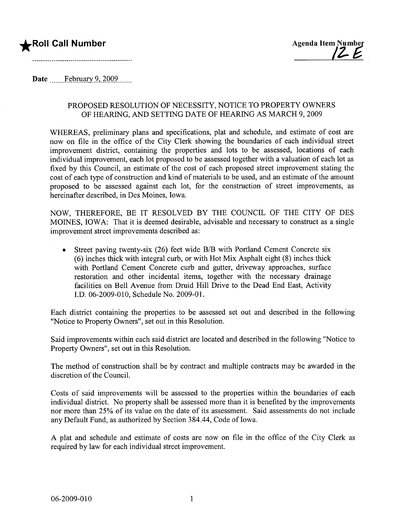# **\*Roll Call Number**



Date February  $9,2009$ ........

### PROPOSED RESOLUTION OF NECESSITY, NOTICE TO PROPERTY OWNERS OF HEARING, AND SETTING DATE OF HEARING AS MARCH 9, 2009

WHEREAS, preliminary plans and specifications, plat and schedule, and estimate of cost are now on file in the office of the City Clerk showing the boundaries of each individual street improvement district, containing the properties and lots to be assessed, locations of each individual improvement, each lot proposed to be assessed together with a valuation of each lot as fixed by this Council, an estimate of the cost of each proposed street improvement stating the cost of each type of construction and kind of materials to be used, and an estimate of the amount proposed to be assessed against each lot, for the construction of street improvements, as hereinafter described, in Des Moines, Iowa.

NOW, THEREFORE, BE IT RESOLVED BY THE COUNCIL OF THE CITY OF DES MOINES, IOWA: That it is deemed desirable, advisable and necessary to construct as a single improvement street improvements described as:

• Street paving twenty-six (26) feet wide B/B with Portland Cement Concrete six (6) inches thick with integral curb, or with Hot Mix Asphalt eight (8) inches thick with Portland Cement Concrete curb and gutter, driveway approaches, surface restoration and other incidental items, together with the necessary drainage facilities on Bell Avenue from Druid Hill Drive to the Dead End East, Activity J.D. 06-2009-010, Schedule No. 2009-01.

Each district containing the properties to be assessed set out and described in the following "Notice to Property Owners", set out in this Resolution.

Said improvements within each said district are located and described in the following "Notice to Property Owners", set out in this Resolution.

The method of construction shall be by contract and multiple contracts may be awarded in the discretion of the CounciL.

Costs of said improvements will be assessed to the properties within the boundaries of each individual district. No property shall be assessed more than it is benefited by the improvements nor more than 25% of its value on the date of its assessment. Said assessments do not include any Default Fund, as authorized by Section 384.44, Code of Iowa.

A plat and schedule and estimate of costs are now on file in the office of the City Clerk as required by law for each individual street improvement.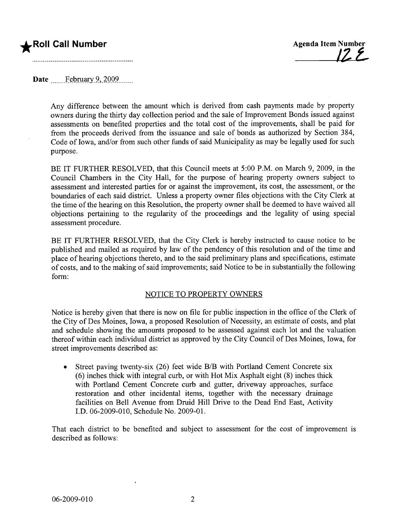



Date .\_\_ \_\_. .f~Rni.Rr-y. .9., )QQ9.. \_\_. \_\_\_\_

Any difference between the amount which is derived from cash payments made by property owners during the thirty day collection period and the sale of Improvement Bonds issued against assessments on benefited properties and the total cost of the improvements, shall be paid for from the proceeds derived from the issuance and sale of bonds as authorized by Section 384, Code of Iowa, and/or from such other funds of said Municipality as may be legally used for such purpose.

BE IT FURTHER RESOLVED, that this Council meets at 5:00 P.M. on March 9, 2009, in the Council Chambers in the City Hall, for the purpose of hearing property owners subject to assessment and interested parties for or against the improvement, its cost, the assessment, or the boundaries of each said district. Unless a property owner files objections with the City Clerk at the time of the hearing on this Resolution, the property owner shall be deemed to have waived all objections pertaining to the regularity of the proceedings and the legality of using special assessment procedure.

BE IT FURTHER RESOLVED, that the City Clerk is hereby instructed to cause notice to be published and mailed as required by law of the pendency of this resolution and of the time and place of hearng objections thereto, and to the said preliminary plans and specifications, estimate of costs, and to the making of said improvements; said Notice to be in substantially the following form:

### NOTICE TO PROPERTY OWNERS

Notice is hereby given that there is now on file for public inspection in the office of the Clerk of the City of Des Moines, Iowa, a proposed Resolution of Necessity, an estimate of costs, and plat and schedule showing the amounts proposed to be assessed against each lot and the valuation thereof within each individual district as approved by the City Council of Des Moines, Iowa, for street improvements described as:

• Street paving twenty-six (26) feet wide B/B with Portland Cement Concrete six (6) inches thick with integral curb, or with Hot Mix Asphalt eight (8) inches thick with Portland Cement Concrete curb and gutter, driveway approaches, surface restoration and other incidental items, together with the necessary drainage facilities on Bell Avenue from Druid Hill Drive to the Dead End East, Activity J.D. 06-2009-010, Schedule No. 2009-01.

That each district to be benefited and subject to assessment for the cost of improvement is described as follows: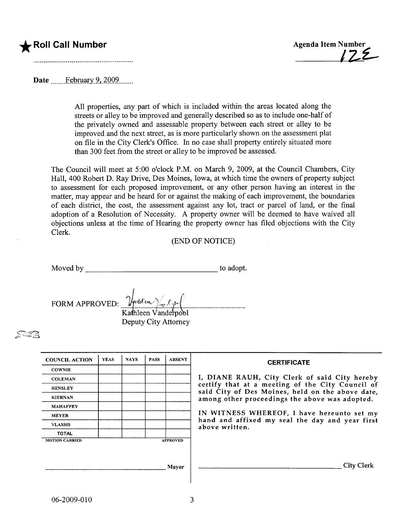# Roll Call Number **Agenda Item Number** Agenda Item Number



Date February 9, 2009

All properties, any part of which is included within the areas located along the streets or alley to be improved and generally described so as to include one-half of the privately owned and assessable property between each street or alley to be improved and the next street, as is more particularly shown on the assessment plat on file in the City Clerk's Office. In no case shall property entirely situated more than 300 feet from the street or alley to be improved be assessed.

The Council will meet at 5:00 o'clock P.M. on March 9, 2009, at the Council Chambers, City Hall, 400 Robert D. Ray Drive, Des Moines, Iowa, at which time the owners of property subject to assessment for each proposed improvement, or any other person having an interest in the matter, may appear and be heard for or against the making of each improvement, the boundaries of each district, the cost, the assessment against any lot, tract or parcel of land, or the final adoption of a Resolution of Necessity. A property owner will be deemed to have waived all objections unless at the time of Hearng the property owner has fied objections with the City Clerk.

## (END OF NOTICE)

Moved by to adopt.

FORM APPROVED:  $\frac{\gamma_{\mu}^{2}}{\gamma_{\mu}^{2}}$ 

Kathleen Vanderpool Deputy City Attorney

 $\approx$   $\approx$ 

| <b>COUNCIL ACTION</b> | <b>YEAS</b> | <b>NAYS</b> | <b>PASS</b> | <b>ABSENT</b>   | <b>CERTIFICATE</b>                                                                                                                                                                                                                                                                                                         |
|-----------------------|-------------|-------------|-------------|-----------------|----------------------------------------------------------------------------------------------------------------------------------------------------------------------------------------------------------------------------------------------------------------------------------------------------------------------------|
| <b>COWNIE</b>         |             |             |             |                 | I, DIANE RAUH, City Clerk of said City hereby<br>certify that at a meeting of the City Council of<br>said City of Des Moines, held on the above date,<br>among other proceedings the above was adopted.<br>IN WITNESS WHEREOF, I have hereunto set my<br>hand and affixed my seal the day and year first<br>above written. |
| <b>COLEMAN</b>        |             |             |             |                 |                                                                                                                                                                                                                                                                                                                            |
| <b>HENSLEY</b>        |             |             |             |                 |                                                                                                                                                                                                                                                                                                                            |
| <b>KIERNAN</b>        |             |             |             |                 |                                                                                                                                                                                                                                                                                                                            |
| <b>MAHAFFEY</b>       |             |             |             |                 |                                                                                                                                                                                                                                                                                                                            |
| <b>MEYER</b>          |             |             |             |                 |                                                                                                                                                                                                                                                                                                                            |
| <b>VLASSIS</b>        |             |             |             |                 |                                                                                                                                                                                                                                                                                                                            |
| <b>TOTAL</b>          |             |             |             |                 |                                                                                                                                                                                                                                                                                                                            |
| <b>MOTION CARRIED</b> |             |             |             | <b>APPROVED</b> |                                                                                                                                                                                                                                                                                                                            |
|                       |             |             |             |                 |                                                                                                                                                                                                                                                                                                                            |
|                       |             |             |             |                 |                                                                                                                                                                                                                                                                                                                            |
| Mayor                 |             |             |             |                 | City Clerk                                                                                                                                                                                                                                                                                                                 |
|                       |             |             |             |                 |                                                                                                                                                                                                                                                                                                                            |

 $\mathbf{I}$